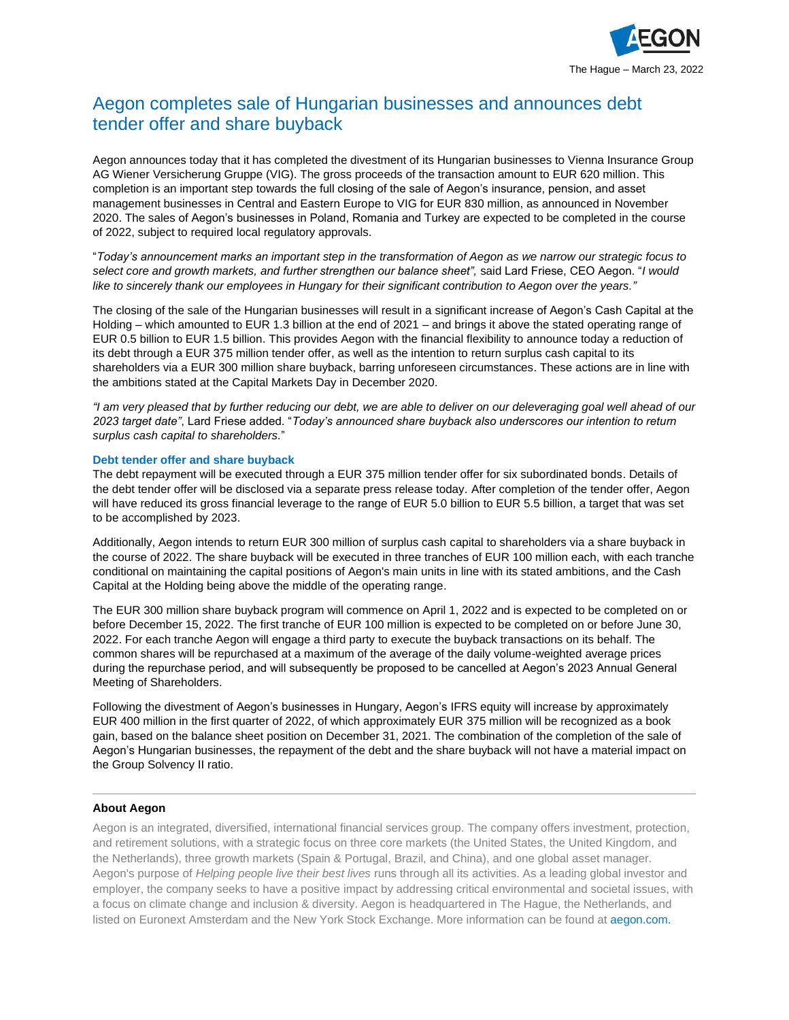

## Aegon completes sale of Hungarian businesses and announces debt tender offer and share buyback

Aegon announces today that it has completed the divestment of its Hungarian businesses to Vienna Insurance Group AG Wiener Versicherung Gruppe (VIG). The gross proceeds of the transaction amount to EUR 620 million. This completion is an important step towards the full closing of the sale of Aegon's insurance, pension, and asset management businesses in Central and Eastern Europe to VIG for EUR 830 million, as announced in November 2020. The sales of Aegon's businesses in Poland, Romania and Turkey are expected to be completed in the course of 2022, subject to required local regulatory approvals.

"*Today's announcement marks an important step in the transformation of Aegon as we narrow our strategic focus to select core and growth markets, and further strengthen our balance sheet",* said Lard Friese, CEO Aegon. "*I would like to sincerely thank our employees in Hungary for their significant contribution to Aegon over the years."*

The closing of the sale of the Hungarian businesses will result in a significant increase of Aegon's Cash Capital at the Holding – which amounted to EUR 1.3 billion at the end of 2021 – and brings it above the stated operating range of EUR 0.5 billion to EUR 1.5 billion. This provides Aegon with the financial flexibility to announce today a reduction of its debt through a EUR 375 million tender offer, as well as the intention to return surplus cash capital to its shareholders via a EUR 300 million share buyback, barring unforeseen circumstances. These actions are in line with the ambitions stated at the Capital Markets Day in December 2020.

*"I am very pleased that by further reducing our debt, we are able to deliver on our deleveraging goal well ahead of our 2023 target date"*, Lard Friese added. "*Today's announced share buyback also underscores our intention to return surplus cash capital to shareholders.*"

## **Debt tender offer and share buyback**

The debt repayment will be executed through a EUR 375 million tender offer for six subordinated bonds. Details of the debt tender offer will be disclosed via a separate press release today. After completion of the tender offer, Aegon will have reduced its gross financial leverage to the range of EUR 5.0 billion to EUR 5.5 billion, a target that was set to be accomplished by 2023.

Additionally, Aegon intends to return EUR 300 million of surplus cash capital to shareholders via a share buyback in the course of 2022. The share buyback will be executed in three tranches of EUR 100 million each, with each tranche conditional on maintaining the capital positions of Aegon's main units in line with its stated ambitions, and the Cash Capital at the Holding being above the middle of the operating range.

The EUR 300 million share buyback program will commence on April 1, 2022 and is expected to be completed on or before December 15, 2022. The first tranche of EUR 100 million is expected to be completed on or before June 30, 2022. For each tranche Aegon will engage a third party to execute the buyback transactions on its behalf. The common shares will be repurchased at a maximum of the average of the daily volume-weighted average prices during the repurchase period, and will subsequently be proposed to be cancelled at Aegon's 2023 Annual General Meeting of Shareholders.

Following the divestment of Aegon's businesses in Hungary, Aegon's IFRS equity will increase by approximately EUR 400 million in the first quarter of 2022, of which approximately EUR 375 million will be recognized as a book gain, based on the balance sheet position on December 31, 2021. The combination of the completion of the sale of Aegon's Hungarian businesses, the repayment of the debt and the share buyback will not have a material impact on the Group Solvency II ratio.

## **About Aegon**

Aegon is an integrated, diversified, international financial services group. The company offers investment, protection, and retirement solutions, with a strategic focus on three core markets (the United States, the United Kingdom, and the Netherlands), three growth markets (Spain & Portugal, Brazil, and China), and one global asset manager. Aegon's purpose of *Helping people live their best lives* runs through all its activities. As a leading global investor and employer, the company seeks to have a positive impact by addressing critical environmental and societal issues, with a focus on climate change and inclusion & diversity. Aegon is headquartered in The Hague, the Netherlands, and listed on Euronext Amsterdam and the New York Stock Exchange. More information can be found at [aegon.com.](http://www.aegon.com/about/)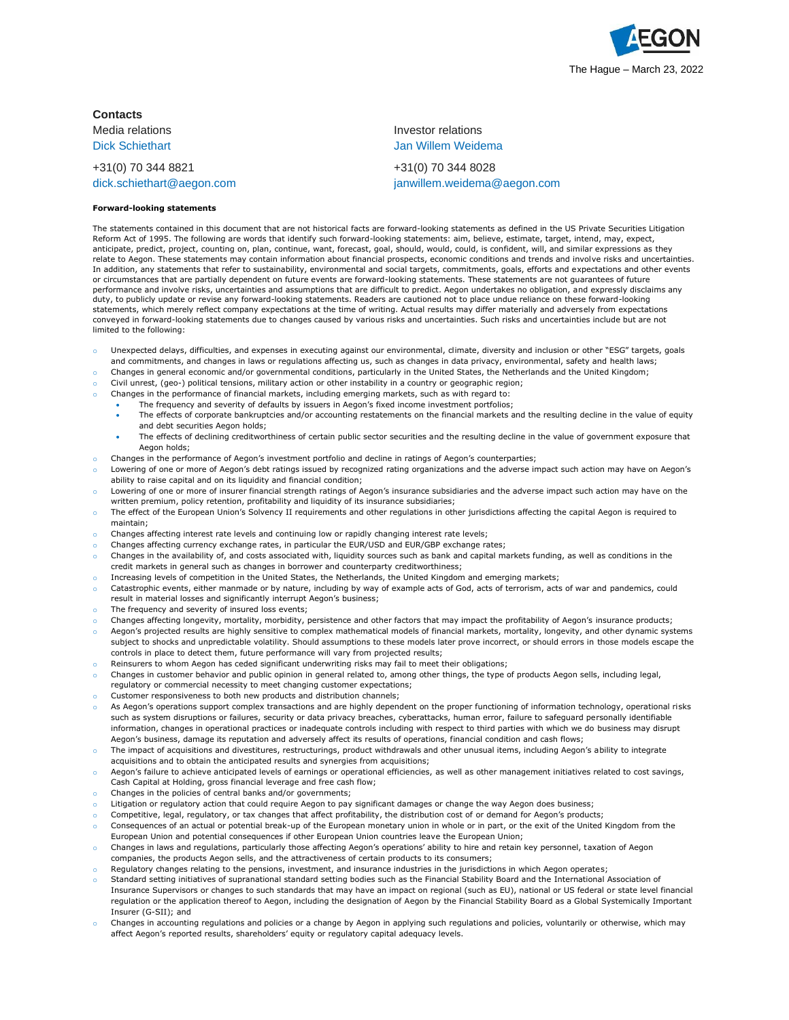

**Contacts**

+31(0) 70 344 8821 +31(0) 70 344 8028

## **Forward-looking statements**

Media relations Investor relations **Dick Schiethart Communist Communist Communist Communist Communist Communist Communist Communist Communist Communist Communist Communist Communist Communist Communist Communist Communist Communist Communist Communist Commu** 

[dick.schiethart@aegon.com](mailto:dick.schiethart@aegon.com) [janwillem.weidema@aegon.com](mailto:janwillem.weidema@aegon.com)

The statements contained in this document that are not historical facts are forward-looking statements as defined in the US Private Securities Litigation Reform Act of 1995. The following are words that identify such forward-looking statements: aim, believe, estimate, target, intend, may, expect, anticipate, predict, project, counting on, plan, continue, want, forecast, goal, should, would, could, is confident, will, and similar expressions as they relate to Aegon. These statements may contain information about financial prospects, economic conditions and trends and involve risks and uncertainties. In addition, any statements that refer to sustainability, environmental and social targets, commitments, goals, efforts and expectations and other events or circumstances that are partially dependent on future events are forward-looking statements. These statements are not guarantees of future performance and involve risks, uncertainties and assumptions that are difficult to predict. Aegon undertakes no obligation, and expressly disclaims any duty, to publicly update or revise any forward-looking statements. Readers are cautioned not to place undue reliance on these forward-looking statements, which merely reflect company expectations at the time of writing. Actual results may differ materially and adversely from expectations conveyed in forward-looking statements due to changes caused by various risks and uncertainties. Such risks and uncertainties include but are not limited to the following:

- Unexpected delays, difficulties, and expenses in executing against our environmental, climate, diversity and inclusion or other "ESG" targets, goals and commitments, and changes in laws or regulations affecting us, such as changes in data privacy, environmental, safety and health laws;
- o Changes in general economic and/or governmental conditions, particularly in the United States, the Netherlands and the United Kingdom;
- Civil unrest, (geo-) political tensions, military action or other instability in a country or geographic region;
- Changes in the performance of financial markets, including emerging markets, such as with regard to:
- The frequency and severity of defaults by issuers in Aegon's fixed income investment portfolios;
	- The effects of corporate bankruptcies and/or accounting restatements on the financial markets and the resulting decline in the value of equity and debt securities Aegon holds;
	- The effects of declining creditworthiness of certain public sector securities and the resulting decline in the value of government exposure that Aegon holds;
- o Changes in the performance of Aegon's investment portfolio and decline in ratings of Aegon's counterparties;
- Lowering of one or more of Aegon's debt ratings issued by recognized rating organizations and the adverse impact such action may have on Aegon's ability to raise capital and on its liquidity and financial condition;
- Lowering of one or more of insurer financial strength ratings of Aegon's insurance subsidiaries and the adverse impact such action may have on the written premium, policy retention, profitability and liquidity of its insurance subsidiaries;
- The effect of the European Union's Solvency II requirements and other regulations in other jurisdictions affecting the capital Aegon is required to maintain;
- o Changes affecting interest rate levels and continuing low or rapidly changing interest rate levels;
- Changes affecting currency exchange rates, in particular the EUR/USD and EUR/GBP exchange rates;
- Changes in the availability of, and costs associated with, liquidity sources such as bank and capital markets funding, as well as conditions in the credit markets in general such as changes in borrower and counterparty creditworthiness;
- Increasing levels of competition in the United States, the Netherlands, the United Kingdom and emerging markets;
- Catastrophic events, either manmade or by nature, including by way of example acts of God, acts of terrorism, acts of war and pandemics, could result in material losses and significantly interrupt Aegon's business;
- The frequency and severity of insured loss events;
- Changes affecting longevity, mortality, morbidity, persistence and other factors that may impact the profitability of Aegon's insurance products;
- Aegon's projected results are highly sensitive to complex mathematical models of financial markets, mortality, longevity, and other dynamic systems subject to shocks and unpredictable volatility. Should assumptions to these models later prove incorrect, or should errors in those models escape the controls in place to detect them, future performance will vary from projected results;
- Reinsurers to whom Aegon has ceded significant underwriting risks may fail to meet their obligations;
- o Changes in customer behavior and public opinion in general related to, among other things, the type of products Aegon sells, including legal,
- regulatory or commercial necessity to meet changing customer expectations;
- Customer responsiveness to both new products and distribution channels;
- As Aegon's operations support complex transactions and are highly dependent on the proper functioning of information technology, operational risks such as system disruptions or failures, security or data privacy breaches, cyberattacks, human error, failure to safeguard personally identifiable information, changes in operational practices or inadequate controls including with respect to third parties with which we do business may disrupt Aegon's business, damage its reputation and adversely affect its results of operations, financial condition and cash flows;
- The impact of acquisitions and divestitures, restructurings, product withdrawals and other unusual items, including Aegon's ability to integrate acquisitions and to obtain the anticipated results and synergies from acquisitions;
- Aegon's failure to achieve anticipated levels of earnings or operational efficiencies, as well as other management initiatives related to cost savings, Cash Capital at Holding, gross financial leverage and free cash flow;
- Changes in the policies of central banks and/or governments;
- Litigation or regulatory action that could require Aegon to pay significant damages or change the way Aegon does business;
- Competitive, legal, regulatory, or tax changes that affect profitability, the distribution cost of or demand for Aegon's products;
- Consequences of an actual or potential break-up of the European monetary union in whole or in part, or the exit of the United Kingdom from the European Union and potential consequences if other European Union countries leave the European Union;
- Changes in laws and regulations, particularly those affecting Aegon's operations' ability to hire and retain key personnel, taxation of Aegon companies, the products Aegon sells, and the attractiveness of certain products to its consumers;
- Regulatory changes relating to the pensions, investment, and insurance industries in the jurisdictions in which Aegon operates;
- Standard setting initiatives of supranational standard setting bodies such as the Financial Stability Board and the International Association of
- Insurance Supervisors or changes to such standards that may have an impact on regional (such as EU), national or US federal or state level financial regulation or the application thereof to Aegon, including the designation of Aegon by the Financial Stability Board as a Global Systemically Important Insurer (G-SII); and
- o Changes in accounting regulations and policies or a change by Aegon in applying such regulations and policies, voluntarily or otherwise, which may affect Aegon's reported results, shareholders' equity or regulatory capital adequacy levels.